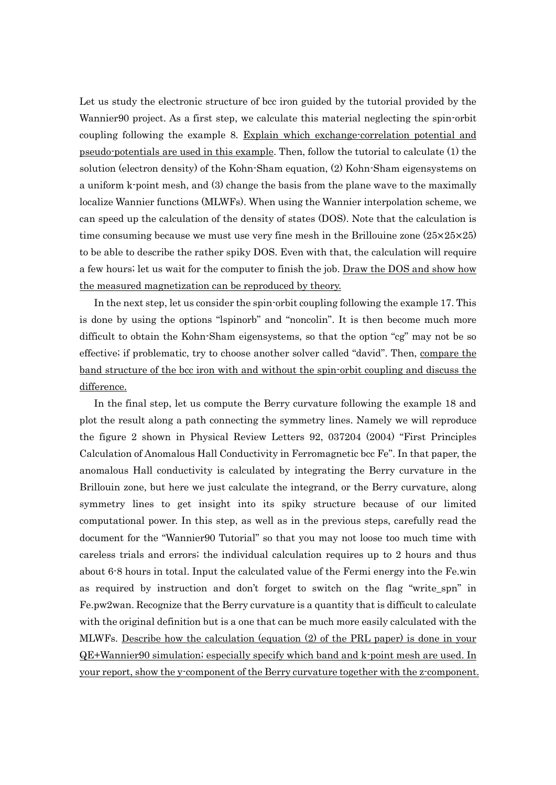Let us study the electronic structure of bcc iron guided by the tutorial provided by the Wannier90 project. As a first step, we calculate this material neglecting the spin-orbit coupling following the example 8. Explain which exchange-correlation potential and pseudo-potentials are used in this example. Then, follow the tutorial to calculate (1) the solution (electron density) of the Kohn-Sham equation, (2) Kohn-Sham eigensystems on a uniform k-point mesh, and (3) change the basis from the plane wave to the maximally localize Wannier functions (MLWFs). When using the Wannier interpolation scheme, we can speed up the calculation of the density of states (DOS). Note that the calculation is time consuming because we must use very fine mesh in the Brillouine zone (25×25×25) to be able to describe the rather spiky DOS. Even with that, the calculation will require a few hours; let us wait for the computer to finish the job. Draw the DOS and show how the measured magnetization can be reproduced by theory.

 In the next step, let us consider the spin-orbit coupling following the example 17. This is done by using the options "lspinorb" and "noncolin". It is then become much more difficult to obtain the Kohn-Sham eigensystems, so that the option "cg" may not be so effective; if problematic, try to choose another solver called "david". Then, compare the band structure of the bcc iron with and without the spin-orbit coupling and discuss the difference.

 In the final step, let us compute the Berry curvature following the example 18 and plot the result along a path connecting the symmetry lines. Namely we will reproduce the figure 2 shown in Physical Review Letters 92, 037204 (2004) "First Principles Calculation of Anomalous Hall Conductivity in Ferromagnetic bcc Fe". In that paper, the anomalous Hall conductivity is calculated by integrating the Berry curvature in the Brillouin zone, but here we just calculate the integrand, or the Berry curvature, along symmetry lines to get insight into its spiky structure because of our limited computational power. In this step, as well as in the previous steps, carefully read the document for the "Wannier90 Tutorial" so that you may not loose too much time with careless trials and errors; the individual calculation requires up to 2 hours and thus about 6-8 hours in total. Input the calculated value of the Fermi energy into the Fe.win as required by instruction and don't forget to switch on the flag "write\_spn" in Fe.pw2wan. Recognize that the Berry curvature is a quantity that is difficult to calculate with the original definition but is a one that can be much more easily calculated with the MLWFs. Describe how the calculation (equation (2) of the PRL paper) is done in your QE+Wannier90 simulation; especially specify which band and k-point mesh are used. In your report, show the y-component of the Berry curvature together with the z-component.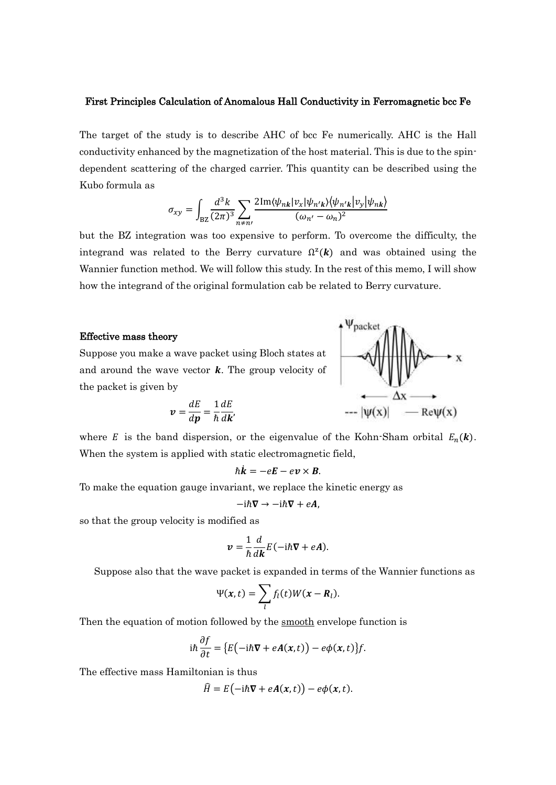## First Principles Calculation of Anomalous Hall Conductivity in Ferromagnetic bcc Fe

The target of the study is to describe AHC of bcc Fe numerically. AHC is the Hall conductivity enhanced by the magnetization of the host material. This is due to the spindependent scattering of the charged carrier. This quantity can be described using the Kubo formula as

$$
\sigma_{xy} = \int_{BZ} \frac{d^3k}{(2\pi)^3} \sum_{n \neq n'} \frac{2 \text{Im}\langle \psi_{nk} | \psi_{n'} | \psi_{n'k} \rangle \langle \psi_{n'k} | \psi_y | \psi_{n'k} \rangle}{(\omega_{n'} - \omega_n)^2}
$$

but the BZ integration was too expensive to perform. To overcome the difficulty, the integrand was related to the Berry curvature  $\Omega^2(\mathbf{k})$  and was obtained using the Wannier function method. We will follow this study. In the rest of this memo, I will show how the integrand of the original formulation cab be related to Berry curvature.

## Effective mass theory

Suppose you make a wave packet using Bloch states at and around the wave vector  $k$ . The group velocity of the packet is given by



$$
=\frac{dE}{d\boldsymbol{p}}=\frac{1}{\hbar}\frac{dE}{d\boldsymbol{k}'}
$$

where E is the band dispersion, or the eigenvalue of the Kohn-Sham orbital  $E_n(k)$ . When the system is applied with static electromagnetic field,

$$
\hbar \dot{\mathbf{k}} = -e\mathbf{E} - e\mathbf{v} \times \mathbf{B}.
$$

To make the equation gauge invariant, we replace the kinetic energy as

$$
-{\rm i}\hbar\nabla\rightarrow-{\rm i}\hbar\nabla+eA,
$$

so that the group velocity is modified as

 $\boldsymbol{v}$ 

$$
v=\frac{1}{\hbar}\frac{d}{d\mathbf{k}}E(-i\hbar\nabla+e\mathbf{A}).
$$

Suppose also that the wave packet is expanded in terms of the Wannier functions as

$$
\Psi(x,t)=\sum_l f_l(t)W(x-\boldsymbol{R}_l).
$$

Then the equation of motion followed by the smooth envelope function is

$$
i\hbar \frac{\partial f}{\partial t} = \{E(-i\hbar \nabla + eA(x,t)) - e\phi(x,t)\}f.
$$

The effective mass Hamiltonian is thus

$$
\widehat{H} = E(-i\hbar \nabla + eA(x,t)) - e\phi(x,t).
$$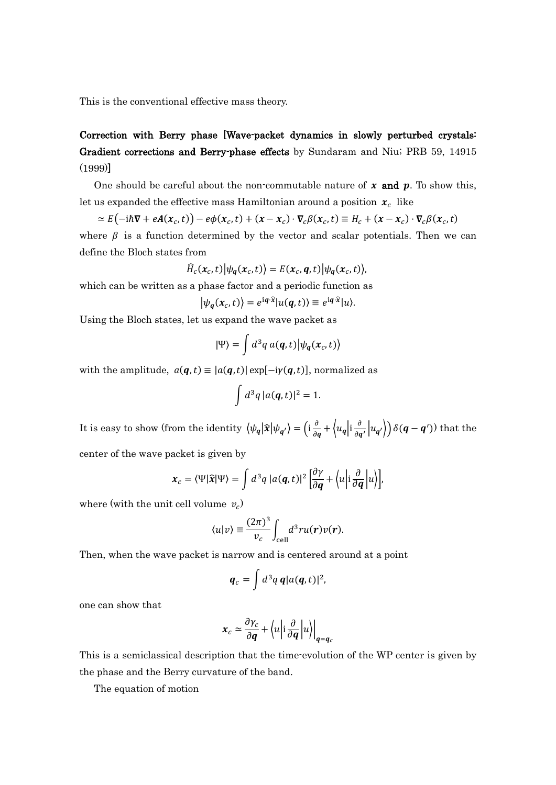This is the conventional effective mass theory.

## Correction with Berry phase [Wave-packet dynamics in slowly perturbed crystals: Gradient corrections and Berry-phase effects by Sundaram and Niu; PRB 59, 14915 (1999)]

One should be careful about the non-commutable nature of  $x$  and  $p$ . To show this, let us expanded the effective mass Hamiltonian around a position  $\boldsymbol{x}_c$  like

 $\simeq E(-i\hbar \nabla + eA(x_c, t)) - e\phi(x_c, t) + (x - x_c) \cdot \nabla_c \beta(x_c, t) \equiv H_c + (x - x_c) \cdot \nabla_c \beta(x_c, t)$ where  $\beta$  is a function determined by the vector and scalar potentials. Then we can define the Bloch states from

$$
\widehat{H}_c(\boldsymbol{x}_c,t)\big|\psi_{\boldsymbol{q}}(\boldsymbol{x}_c,t)\big\rangle=E(\boldsymbol{x}_c,\boldsymbol{q},t)\big|\psi_{\boldsymbol{q}}(\boldsymbol{x}_c,t)\big\rangle,
$$

which can be written as a phase factor and a periodic function as

$$
|\psi_{q}(x_c,t)\rangle=e^{iq\cdot\hat{x}}|u(q,t)\rangle\equiv e^{iq\cdot\hat{x}}|u\rangle.
$$

Using the Bloch states, let us expand the wave packet as

$$
|\Psi\rangle = \int d^3q \, a(\boldsymbol{q},t) \big| \psi_{\boldsymbol{q}}(\boldsymbol{x}_c,t) \big\rangle
$$

with the amplitude,  $a(q,t) \equiv |a(q,t)| \exp[-iy(q,t)]$ , normalized as

$$
\int d^3q \, |a(\boldsymbol{q},t)|^2 = 1.
$$

It is easy to show (from the identity  $\langle \psi_q | \hat{\mathbf{x}} | \psi_{q'} \rangle = \left( i \frac{\partial}{\partial q_i} \hat{\mathbf{x}} \right)$  $\frac{\partial}{\partial q} + \left\langle u_q \right| \mathrm{i} \frac{\partial}{\partial q}$  $\frac{\partial}{\partial q'}\left|u_{\mathbf{q}'}\right\rangle\right)\delta(\mathbf{q}-\mathbf{q}'))$  that the center of the wave packet is given by

$$
\boldsymbol{x}_c = \langle \Psi | \widehat{\boldsymbol{x}} | \Psi \rangle = \int d^3 q \, |a(\boldsymbol{q},t)|^2 \left[ \frac{\partial \gamma}{\partial \boldsymbol{q}} + \langle u | i \frac{\partial}{\partial \boldsymbol{q}} | u \rangle \right],
$$

where (with the unit cell volume  $v_c$ )

$$
\langle u|v\rangle \equiv \frac{(2\pi)^3}{v_c} \int_{\text{cell}} d^3r u(\mathbf{r}) v(\mathbf{r}).
$$

Then, when the wave packet is narrow and is centered around at a point

$$
\boldsymbol{q}_c = \int d^3q \, \boldsymbol{q} |a(\boldsymbol{q},t)|^2,
$$

one can show that

$$
x_c \simeq \frac{\partial \gamma_c}{\partial \mathbf{q}} + \left\langle u \middle| i \frac{\partial}{\partial \mathbf{q}} \middle| u \right\rangle \Big|_{\mathbf{q} = \mathbf{q}_c}
$$

This is a semiclassical description that the time-evolution of the WP center is given by the phase and the Berry curvature of the band.

The equation of motion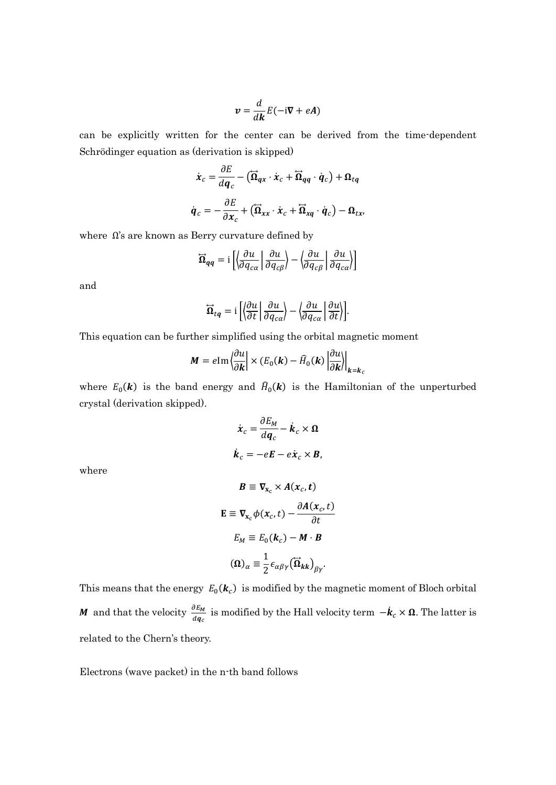$$
v = \frac{d}{dk}E(-i\nabla + eA)
$$

can be explicitly written for the center can be derived from the time-dependent Schrödinger equation as (derivation is skipped)

$$
\dot{x}_c = \frac{\partial E}{d\boldsymbol{q}_c} - (\overleftrightarrow{\Omega}_{\boldsymbol{q}x} \cdot \dot{x}_c + \overleftrightarrow{\Omega}_{\boldsymbol{q}\boldsymbol{q}} \cdot \dot{\boldsymbol{q}}_c) + \Omega_{t\boldsymbol{q}}
$$
\n
$$
\dot{\boldsymbol{q}}_c = -\frac{\partial E}{\partial x_c} + (\overleftrightarrow{\Omega}_{xx} \cdot \dot{x}_c + \overleftrightarrow{\Omega}_{x\boldsymbol{q}} \cdot \dot{\boldsymbol{q}}_c) - \Omega_{tx},
$$

where  $\Omega$ 's are known as Berry curvature defined by

$$
\overrightarrow{\mathbf{\Omega}}_{qq} = \mathrm{i} \left[ \left\langle \frac{\partial u}{\partial q_{ca}} \right| \frac{\partial u}{\partial q_{c\beta}} \right] - \left\langle \frac{\partial u}{\partial q_{c\beta}} \right| \frac{\partial u}{\partial q_{ca}} \right]
$$

and

$$
\overrightarrow{\mathbf{\Omega}}_{tq} = \mathrm{i} \left[ \left\langle \frac{\partial u}{\partial t} \right| \frac{\partial u}{\partial q_{ca}} \right\rangle - \left\langle \frac{\partial u}{\partial q_{ca}} \right| \frac{\partial u}{\partial t} \right].
$$

This equation can be further simplified using the orbital magnetic moment

$$
M = e \operatorname{Im} \left| \frac{\partial u}{\partial k} \right| \times (E_0(k) - \widehat{H}_0(k) \left| \frac{\partial u}{\partial k} \right|_{k=k_c}
$$

where  $E_0(k)$  is the band energy and  $\widehat{H}_0(k)$  is the Hamiltonian of the unperturbed crystal (derivation skipped).

$$
\dot{\boldsymbol{x}}_c = \frac{\partial E_M}{d\boldsymbol{q}_c} - \dot{\boldsymbol{k}}_c \times \boldsymbol{\Omega}
$$
\n
$$
\dot{\boldsymbol{k}}_c = -e\boldsymbol{E} - e\dot{\boldsymbol{x}}_c \times \boldsymbol{B},
$$

where

$$
B \equiv \nabla_{\mathbf{x}_c} \times A(\mathbf{x}_c, t)
$$

$$
\mathbf{E} \equiv \nabla_{\mathbf{x}_c} \phi(\mathbf{x}_c, t) - \frac{\partial A(\mathbf{x}_c, t)}{\partial t}
$$

$$
E_M \equiv E_0(\mathbf{k}_c) - \mathbf{M} \cdot \mathbf{B}
$$

$$
(\Omega)_{\alpha} \equiv \frac{1}{2} \epsilon_{\alpha \beta \gamma} (\overrightarrow{\Omega}_{kk})_{\beta \gamma}.
$$

This means that the energy  $E_0(\mathbf{k}_c)$  is modified by the magnetic moment of Bloch orbital M and that the velocity  $\frac{\partial E_M}{\partial q_c}$  is modified by the Hall velocity term  $-\dot{\bm{k}}_c \times \bm{\Omega}$ . The latter is related to the Chern's theory.

Electrons (wave packet) in the n-th band follows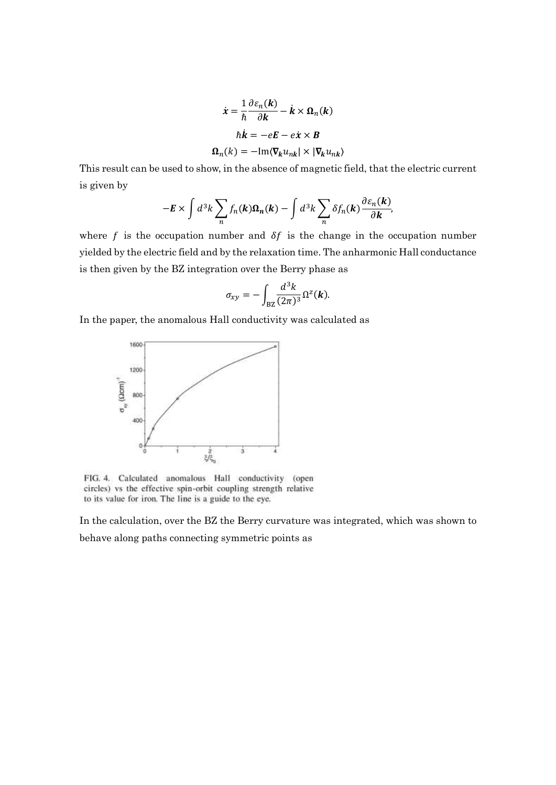$$
\dot{x} = \frac{1}{\hbar} \frac{\partial \varepsilon_n(\mathbf{k})}{\partial \mathbf{k}} - \dot{\mathbf{k}} \times \mathbf{\Omega}_n(\mathbf{k})
$$

$$
\hbar \dot{\mathbf{k}} = -e\mathbf{E} - e\dot{\mathbf{x}} \times \mathbf{B}
$$

$$
\mathbf{\Omega}_n(\mathbf{k}) = -\text{Im}\langle \nabla_{\mathbf{k}} u_{nk} | \times | \nabla_{\mathbf{k}} u_{nk} \rangle
$$

This result can be used to show, in the absence of magnetic field, that the electric current is given by

$$
-E\times\int d^3k\sum_n f_n(\mathbf{k})\mathbf{\Omega}_n(\mathbf{k})-\int d^3k\sum_n \delta f_n(\mathbf{k})\frac{\partial \varepsilon_n(\mathbf{k})}{\partial \mathbf{k}},
$$

where  $f$  is the occupation number and  $\delta f$  is the change in the occupation number yielded by the electric field and by the relaxation time. The anharmonic Hall conductance is then given by the BZ integration over the Berry phase as

$$
\sigma_{xy}=-\int_{\rm BZ}\frac{d^3k}{(2\pi)^3}\Omega^z(\mathbf{k}).
$$

In the paper, the anomalous Hall conductivity was calculated as



FIG. 4. Calculated anomalous Hall conductivity (open circles) vs the effective spin-orbit coupling strength relative to its value for iron. The line is a guide to the eye.

In the calculation, over the BZ the Berry curvature was integrated, which was shown to behave along paths connecting symmetric points as